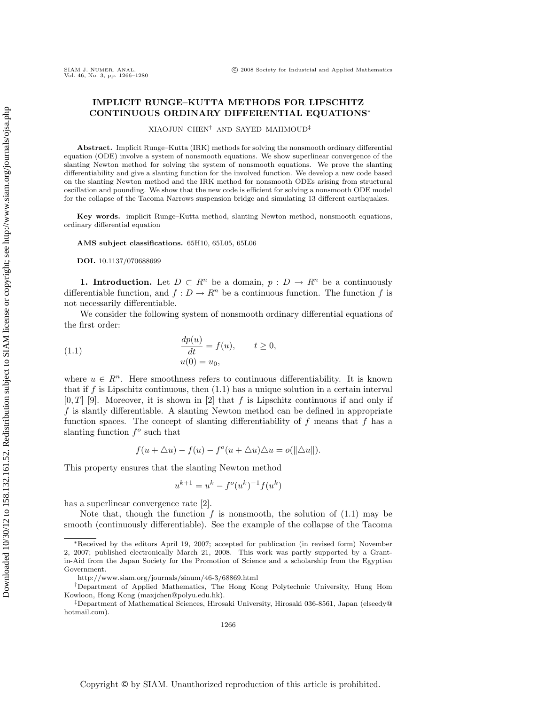## **IMPLICIT RUNGE–KUTTA METHODS FOR LIPSCHITZ CONTINUOUS ORDINARY DIFFERENTIAL EQUATIONS**∗

XIAOJUN CHEN† AND SAYED MAHMOUD‡

**Abstract.** Implicit Runge–Kutta (IRK) methods for solving the nonsmooth ordinary differential equation (ODE) involve a system of nonsmooth equations. We show superlinear convergence of the slanting Newton method for solving the system of nonsmooth equations. We prove the slanting differentiability and give a slanting function for the involved function. We develop a new code based on the slanting Newton method and the IRK method for nonsmooth ODEs arising from structural oscillation and pounding. We show that the new code is efficient for solving a nonsmooth ODE model for the collapse of the Tacoma Narrows suspension bridge and simulating 13 different earthquakes.

**Key words.** implicit Runge–Kutta method, slanting Newton method, nonsmooth equations, ordinary differential equation

**AMS subject classifications.** 65H10, 65L05, 65L06

**DOI.** 10.1137/070688699

**1. Introduction.** Let  $D \subset R^n$  be a domain,  $p : D \to R^n$  be a continuously differentiable function, and  $f: D \to R^n$  be a continuous function. The function f is not necessarily differentiable.

We consider the following system of nonsmooth ordinary differential equations of the first order:

(1.1) 
$$
\frac{dp(u)}{dt} = f(u), \qquad t \ge 0,
$$

$$
u(0) = u_0,
$$

where  $u \in R^n$ . Here smoothness refers to continuous differentiability. It is known that if f is Lipschitz continuous, then  $(1.1)$  has a unique solution in a certain interval  $[0, T]$  [9]. Moreover, it is shown in [2] that f is Lipschitz continuous if and only if f is slantly differentiable. A slanting Newton method can be defined in appropriate function spaces. The concept of slanting differentiability of  $f$  means that  $f$  has a slanting function  $f^{\circ}$  such that

$$
f(u + \triangle u) - f(u) - f^o(u + \triangle u) \triangle u = o(||\triangle u||).
$$

This property ensures that the slanting Newton method

$$
u^{k+1} = u^k - f^o(u^k)^{-1} f(u^k)
$$

has a superlinear convergence rate [2].

Note that, though the function f is nonsmooth, the solution of  $(1.1)$  may be smooth (continuously differentiable). See the example of the collapse of the Tacoma

<sup>∗</sup>Received by the editors April 19, 2007; accepted for publication (in revised form) November 2, 2007; published electronically March 21, 2008. This work was partly supported by a Grantin-Aid from the Japan Society for the Promotion of Science and a scholarship from the Egyptian Government.

http://www.siam.org/journals/sinum/46-3/68869.html

<sup>†</sup>Department of Applied Mathematics, The Hong Kong Polytechnic University, Hung Hom Kowloon, Hong Kong (maxjchen@polyu.edu.hk).

<sup>‡</sup>Department of Mathematical Sciences, Hirosaki University, Hirosaki 036-8561, Japan (elseedy@ hotmail.com).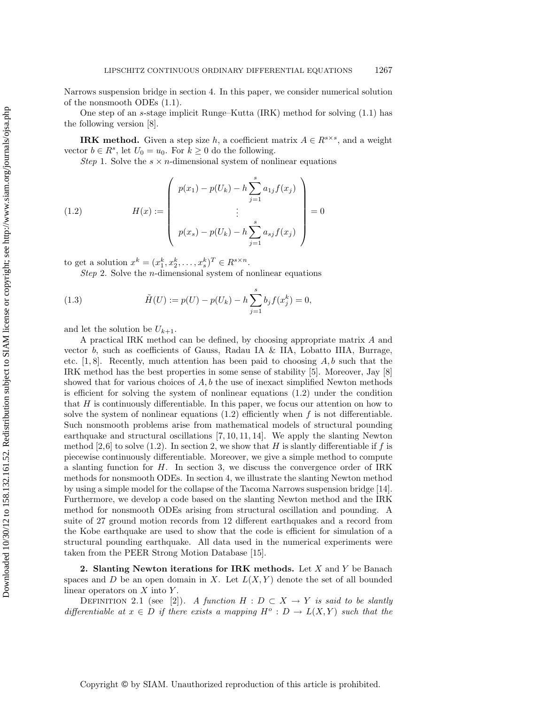Narrows suspension bridge in section 4. In this paper, we consider numerical solution of the nonsmooth ODEs (1.1).

One step of an s-stage implicit Runge–Kutta (IRK) method for solving (1.1) has the following version [8].

**IRK method.** Given a step size h, a coefficient matrix  $A \in \mathbb{R}^{s \times s}$ , and a weight vector  $b \in R^s$ , let  $U_0 = u_0$ . For  $k \geq 0$  do the following.

Step 1. Solve the  $s \times n$ -dimensional system of nonlinear equations

(1.2) 
$$
H(x) := \begin{pmatrix} p(x_1) - p(U_k) - h \sum_{j=1}^s a_{1j} f(x_j) \\ \vdots \\ p(x_s) - p(U_k) - h \sum_{j=1}^s a_{sj} f(x_j) \end{pmatrix} = 0
$$

to get a solution  $x^k = (x_1^k, x_2^k, \ldots, x_s^k)^T \in R^{s \times n}$ .

Step 2. Solve the *n*-dimensional system of nonlinear equations

(1.3) 
$$
\tilde{H}(U) := p(U) - p(U_k) - h \sum_{j=1}^{s} b_j f(x_j^k) = 0,
$$

and let the solution be  $U_{k+1}$ .

A practical IRK method can be defined, by choosing appropriate matrix A and vector  $b$ , such as coefficients of Gauss, Radau IA & IIA, Lobatto IIIA, Burrage, etc.  $[1, 8]$ . Recently, much attention has been paid to choosing  $A, b$  such that the IRK method has the best properties in some sense of stability [5]. Moreover, Jay [8] showed that for various choices of  $A, b$  the use of inexact simplified Newton methods is efficient for solving the system of nonlinear equations (1.2) under the condition that  $H$  is continuously differentiable. In this paper, we focus our attention on how to solve the system of nonlinear equations  $(1.2)$  efficiently when f is not differentiable. Such nonsmooth problems arise from mathematical models of structural pounding earthquake and structural oscillations [7, 10, 11, 14]. We apply the slanting Newton method [2,6] to solve (1.2). In section 2, we show that H is slantly differentiable if f is piecewise continuously differentiable. Moreover, we give a simple method to compute a slanting function for  $H$ . In section 3, we discuss the convergence order of IRK methods for nonsmooth ODEs. In section 4, we illustrate the slanting Newton method by using a simple model for the collapse of the Tacoma Narrows suspension bridge [14]. Furthermore, we develop a code based on the slanting Newton method and the IRK method for nonsmooth ODEs arising from structural oscillation and pounding. A suite of 27 ground motion records from 12 different earthquakes and a record from the Kobe earthquake are used to show that the code is efficient for simulation of a structural pounding earthquake. All data used in the numerical experiments were taken from the PEER Strong Motion Database [15].

**2. Slanting Newton iterations for IRK methods.** Let X and Y be Banach spaces and D be an open domain in X. Let  $L(X, Y)$  denote the set of all bounded linear operators on  $X$  into  $Y$ .

DEFINITION 2.1 (see [2]). A function  $H : D \subset X \to Y$  is said to be slantly differentiable at  $x \in D$  if there exists a mapping  $H^o : D \to L(X,Y)$  such that the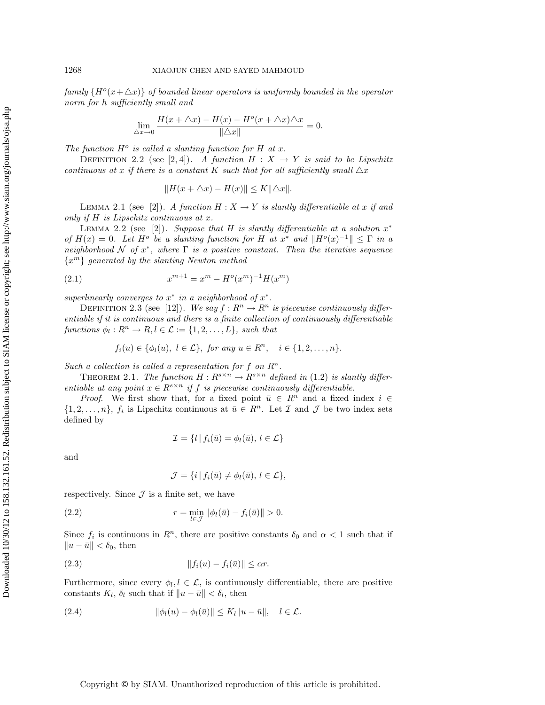family  $\{H^o(x+\Delta x)\}\$  of bounded linear operators is uniformly bounded in the operator norm for h sufficiently small and

$$
\lim_{\Delta x \to 0} \frac{H(x + \Delta x) - H(x) - H^o(x + \Delta x)\Delta x}{\|\Delta x\|} = 0.
$$

The function  $H^o$  is called a slanting function for H at x.

DEFINITION 2.2 (see [2, 4]). A function  $H : X \to Y$  is said to be Lipschitz continuous at x if there is a constant K such that for all sufficiently small  $\Delta x$ 

$$
||H(x + \triangle x) - H(x)|| \le K||\triangle x||.
$$

LEMMA 2.1 (see [2]). A function  $H : X \to Y$  is slantly differentiable at x if and only if H is Lipschitz continuous at x.

LEMMA 2.2 (see [2]). Suppose that H is slantly differentiable at a solution  $x^*$ of  $H(x)=0$ . Let  $H^o$  be a slanting function for H at  $x^*$  and  $\|H^o(x)^{-1}\| \leq \Gamma$  in a neighborhood N of  $x^*$ , where  $\Gamma$  is a positive constant. Then the iterative sequence  ${x<sup>m</sup>}$  generated by the slanting Newton method

(2.1) 
$$
x^{m+1} = x^m - H^o(x^m)^{-1}H(x^m)
$$

superlinearly converges to  $x^*$  in a neighborhood of  $x^*$ .

DEFINITION 2.3 (see [12]). We say  $f: R^n \to R^n$  is piecewise continuously differentiable if it is continuous and there is a finite collection of continuously differentiable functions  $\phi_l : R^n \to R, l \in \mathcal{L} := \{1, 2, ..., L\}$ , such that

$$
f_i(u) \in \{\phi_l(u), l \in \mathcal{L}\}, \text{ for any } u \in R^n, \quad i \in \{1, 2, \dots, n\}.
$$

Such a collection is called a representation for f on  $\mathbb{R}^n$ .

THEOREM 2.1. The function  $H: R^{s \times n} \to R^{s \times n}$  defined in (1.2) is slantly differentiable at any point  $x \in R^{s \times n}$  if f is piecewise continuously differentiable.

*Proof.* We first show that, for a fixed point  $\bar{u} \in R^n$  and a fixed index  $i \in$  $\{1, 2, \ldots, n\}, f_i$  is Lipschitz continuous at  $\bar{u} \in R^n$ . Let  $\mathcal I$  and  $\mathcal J$  be two index sets defined by

$$
\mathcal{I} = \{l \mid f_i(\bar{u}) = \phi_l(\bar{u}), l \in \mathcal{L}\}
$$

and

$$
\mathcal{J} = \{i \mid f_i(\bar{u}) \neq \phi_l(\bar{u}), \ l \in \mathcal{L}\},\
$$

respectively. Since  $\mathcal J$  is a finite set, we have

(2.2) 
$$
r = \min_{l \in \mathcal{J}} \|\phi_l(\bar{u}) - f_i(\bar{u})\| > 0.
$$

Since  $f_i$  is continuous in  $R^n$ , there are positive constants  $\delta_0$  and  $\alpha < 1$  such that if  $||u - \bar{u}|| < \delta_0$ , then

(2.3) fi(u) − fi(¯u) ≤ αr.

Furthermore, since every  $\phi_l, l \in \mathcal{L}$ , is continuously differentiable, there are positive constants  $K_l$ ,  $\delta_l$  such that if  $||u - \bar{u}|| < \delta_l$ , then

$$
(2.4) \t\t\t |\t|\phi_l(u) - \phi_l(\bar{u})|| \leq K_l \|u - \bar{u}\|, \quad l \in \mathcal{L}.
$$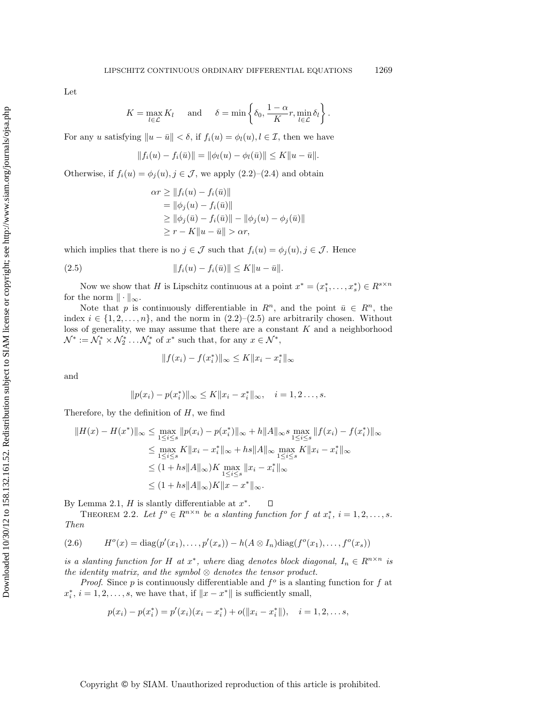Let

$$
K = \max_{l \in \mathcal{L}} K_l \quad \text{and} \quad \delta = \min \left\{ \delta_0, \frac{1 - \alpha}{K} r, \min_{l \in \mathcal{L}} \delta_l \right\}.
$$

For any u satisfying  $||u - \bar{u}|| < \delta$ , if  $f_i(u) = \phi_i(u), i \in \mathcal{I}$ , then we have

$$
||f_i(u) - f_i(\bar{u})|| = ||\phi_i(u) - \phi_i(\bar{u})|| \le K||u - \bar{u}||.
$$

Otherwise, if  $f_i(u) = \phi_j(u), j \in \mathcal{J}$ , we apply  $(2.2)$ – $(2.4)$  and obtain

$$
\alpha r \ge ||f_i(u) - f_i(\bar{u})||
$$
  
=  $||\phi_j(u) - f_i(\bar{u})||$   
 $\ge ||\phi_j(\bar{u}) - f_i(\bar{u})|| - ||\phi_j(u) - \phi_j(\bar{u})||$   
 $\ge r - K||u - \bar{u}|| > \alpha r$ ,

which implies that there is no  $j \in \mathcal{J}$  such that  $f_i(u) = \phi_i(u), j \in \mathcal{J}$ . Hence

(2.5) 
$$
||f_i(u) - f_i(\bar{u})|| \le K||u - \bar{u}||.
$$

Now we show that H is Lipschitz continuous at a point  $x^* = (x_1^*, \ldots, x_s^*) \in R^{s \times n}$ for the norm  $\|\cdot\|_{\infty}$ .

Note that p is continuously differentiable in  $R^n$ , and the point  $\bar{u} \in R^n$ , the index  $i \in \{1, 2, ..., n\}$ , and the norm in  $(2.2)$ – $(2.5)$  are arbitrarily chosen. Without loss of generality, we may assume that there are a constant  $K$  and a neighborhood  $\mathcal{N}^* := \mathcal{N}_1^* \times \mathcal{N}_2^* \dots \mathcal{N}_s^*$  of  $x^*$  such that, for any  $x \in \mathcal{N}^*$ ,

$$
||f(x_i) - f(x_i^*)||_{\infty} \le K||x_i - x_i^*||_{\infty}
$$

and

$$
||p(x_i) - p(x_i^*)||_{\infty} \le K||x_i - x_i^*||_{\infty}, \quad i = 1, 2..., s.
$$

Therefore, by the definition of  $H$ , we find

$$
||H(x) - H(x^*)||_{\infty} \le \max_{1 \le i \le s} ||p(x_i) - p(x_i^*)||_{\infty} + h||A||_{\infty} s \max_{1 \le i \le s} ||f(x_i) - f(x_i^*)||_{\infty}
$$
  
\n
$$
\le \max_{1 \le i \le s} K||x_i - x_i^*||_{\infty} + h||A||_{\infty} \max_{1 \le i \le s} K||x_i - x_i^*||_{\infty}
$$
  
\n
$$
\le (1 + h||A||_{\infty})K \max_{1 \le i \le s} ||x_i - x_i^*||_{\infty}
$$
  
\n
$$
\le (1 + h||A||_{\infty})K||x - x^*||_{\infty}.
$$

By Lemma 2.1,  $H$  is slantly differentiable at  $x^*$ .  $\Box$ 

THEOREM 2.2. Let  $f^o \in R^{n \times n}$  be a slanting function for f at  $x_i^*, i = 1, 2, ..., s$ . Then

(2.6) 
$$
H^{o}(x) = \text{diag}(p'(x_{1}),...,p'(x_{s})) - h(A \otimes I_{n})\text{diag}(f^{o}(x_{1}),...,f^{o}(x_{s}))
$$

is a slanting function for H at  $x^*$ , where diag denotes block diagonal,  $I_n \in R^{n \times n}$  is the identity matrix, and the symbol  $\otimes$  denotes the tensor product.

*Proof.* Since p is continuously differentiable and  $f^{\circ}$  is a slanting function for f at  $x_i^*, i = 1, 2, \ldots, s$ , we have that, if  $||x - x^*||$  is sufficiently small,

$$
p(x_i) - p(x_i^*) = p'(x_i)(x_i - x_i^*) + o(||x_i - x_i^*||), \quad i = 1, 2, \dots s,
$$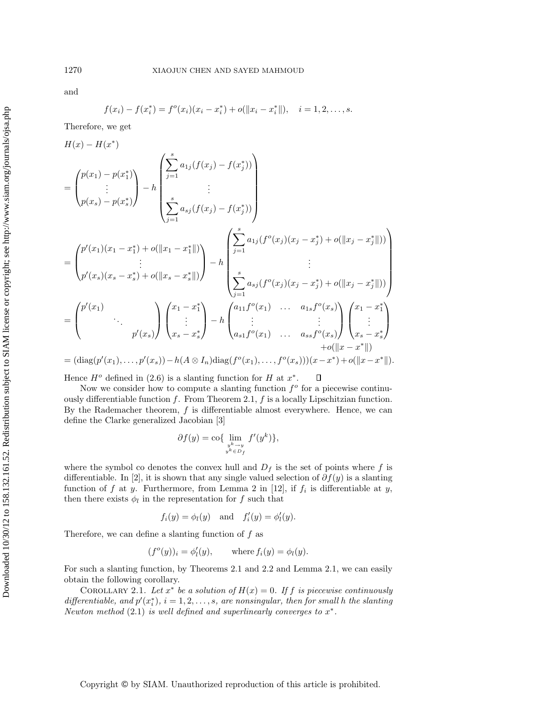and

$$
f(x_i) - f(x_i^*) = f^o(x_i)(x_i - x_i^*) + o(||x_i - x_i^*||), \quad i = 1, 2, ..., s.
$$

Therefore, we get

H(x) − H(x∗) = ⎛ ⎜⎝ p(x1) − p(x<sup>∗</sup> 1) . . . p(xs) − p(x<sup>∗</sup> s) ⎞ ⎟⎠ <sup>−</sup> <sup>h</sup> ⎛ ⎜⎜⎜⎜⎜⎜⎜⎝ s j=1 a1<sup>j</sup> (f(x<sup>j</sup> ) − f(x<sup>∗</sup> <sup>j</sup> )) . . . s j=1 asj (f(x<sup>j</sup> ) − f(x<sup>∗</sup> <sup>j</sup> )) ⎞ ⎟⎟⎟⎟⎟⎟⎟⎠ = ⎛ ⎜⎝ p (x1)(x<sup>1</sup> − x<sup>∗</sup> <sup>1</sup>) + o(x<sup>1</sup> − x<sup>∗</sup> <sup>1</sup>) . . . p (xs)(x<sup>s</sup> − x<sup>∗</sup> <sup>s</sup>) + o(x<sup>s</sup> − x<sup>∗</sup> <sup>s</sup>) ⎞ ⎟⎠ <sup>−</sup> <sup>h</sup> ⎛ ⎜⎜⎜⎜⎜⎜⎜⎝ s j=1 a1<sup>j</sup> (f <sup>o</sup>(x<sup>j</sup> )(x<sup>j</sup> − x<sup>∗</sup> <sup>j</sup> ) + o(x<sup>j</sup> − x<sup>∗</sup> <sup>j</sup> )) . . . s j=1 asj (f <sup>o</sup>(x<sup>j</sup> )(x<sup>j</sup> − x<sup>∗</sup> <sup>j</sup> ) + o(x<sup>j</sup> − x<sup>∗</sup> <sup>j</sup> )) ⎞ ⎟⎟⎟⎟⎟⎟⎟⎠ = ⎛ ⎜⎝ p (x1) ... p (xs) ⎞ ⎟⎠ ⎛ ⎜⎝ x<sup>1</sup> − x<sup>∗</sup> 1 . . . x<sup>s</sup> − x<sup>∗</sup> s ⎞ ⎟⎠ <sup>−</sup> <sup>h</sup> ⎛ ⎜⎝ a11f <sup>o</sup>(x1) ... a1<sup>s</sup>f <sup>o</sup>(xs) . . . . . . a<sup>s</sup>1f <sup>o</sup>(x1) ... assf <sup>o</sup>(xs) ⎞ ⎟⎠ ⎛ ⎜⎝ x<sup>1</sup> − x<sup>∗</sup> 1 . . . x<sup>s</sup> − x<sup>∗</sup> s ⎞ ⎟⎠ +o(x − x∗)

$$
= (\mathrm{diag}(p'(x_1),...,p'(x_s)) - h(A \otimes I_n) \mathrm{diag}(f^o(x_1),...,f^o(x_s)))(x-x^*) + o(||x-x^*||).
$$

Hence  $H^o$  defined in (2.6) is a slanting function for H at  $x^*$ . О

Now we consider how to compute a slanting function  $f^o$  for a piecewise continuously differentiable function f. From Theorem 2.1, f is a locally Lipschitzian function. By the Rademacher theorem,  $f$  is differentiable almost everywhere. Hence, we can define the Clarke generalized Jacobian [3]

$$
\partial f(y) = \text{co} \{ \lim_{\substack{y^k \to y \\ y^k \in D_f}} f'(y^k) \},\
$$

where the symbol co denotes the convex hull and  $D_f$  is the set of points where f is differentiable. In [2], it is shown that any single valued selection of  $\partial f(y)$  is a slanting function of f at y. Furthermore, from Lemma 2 in [12], if  $f_i$  is differentiable at y, then there exists  $\phi_l$  in the representation for  $f$  such that

$$
f_i(y) = \phi_i(y)
$$
 and  $f'_i(y) = \phi'_i(y)$ .

Therefore, we can define a slanting function of  $f$  as

$$
(f^o(y))_i = \phi'_l(y)
$$
, where  $f_i(y) = \phi_l(y)$ .

For such a slanting function, by Theorems 2.1 and 2.2 and Lemma 2.1, we can easily obtain the following corollary.

COROLLARY 2.1. Let  $x^*$  be a solution of  $H(x)=0$ . If f is piecewise continuously differentiable, and  $p'(x_i^*), i = 1, 2, \ldots, s$ , are nonsingular, then for small h the slanting Newton method (2.1) is well defined and superlinearly converges to  $x^*$ .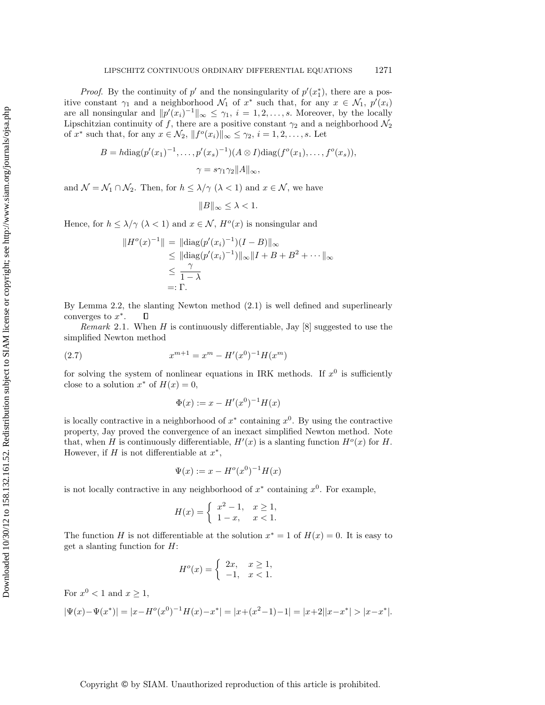*Proof.* By the continuity of  $p'$  and the nonsingularity of  $p'(x_1^*)$ , there are a positive constant  $\gamma_1$  and a neighborhood  $\mathcal{N}_1$  of  $x^*$  such that, for any  $x \in \mathcal{N}_1$ ,  $p'(x_i)$ are all nonsingular and  $||p'(x_i)^{-1}||_{\infty} \leq \gamma_1$ ,  $i = 1, 2, ..., s$ . Moreover, by the locally Lipschitzian continuity of f, there are a positive constant  $\gamma_2$  and a neighborhood  $\mathcal{N}_2$ of  $x^*$  such that, for any  $x \in \mathcal{N}_2$ ,  $||f^o(x_i)||_{\infty} \leq \gamma_2$ ,  $i = 1, 2, ..., s$ . Let

$$
B = h \operatorname{diag}(p'(x_1)^{-1}, \dots, p'(x_s)^{-1})(A \otimes I) \operatorname{diag}(f^o(x_1), \dots, f^o(x_s)),
$$
  

$$
\gamma = s\gamma_1 \gamma_2 ||A||_{\infty},
$$

and  $\mathcal{N} = \mathcal{N}_1 \cap \mathcal{N}_2$ . Then, for  $h \leq \lambda/\gamma$  ( $\lambda < 1$ ) and  $x \in \mathcal{N}$ , we have

$$
||B||_{\infty} \leq \lambda < 1.
$$

Hence, for  $h \leq \lambda/\gamma \ (\lambda < 1)$  and  $x \in \mathcal{N}$ ,  $H^o(x)$  is nonsingular and

$$
||H^o(x)^{-1}|| = ||diag(p'(x_i)^{-1})(I - B)||_{\infty}
$$
  
\n
$$
\leq ||diag(p'(x_i)^{-1})||_{\infty}||I + B + B^2 + \cdots ||_{\infty}
$$
  
\n
$$
\leq \frac{\gamma}{1 - \lambda}
$$
  
\n
$$
=:\Gamma.
$$

By Lemma 2.2, the slanting Newton method (2.1) is well defined and superlinearly converges to  $x^*$ .  $\Box$ 

*Remark* 2.1. When H is continuously differentiable, Jay  $[8]$  suggested to use the simplified Newton method

(2.7) 
$$
x^{m+1} = x^m - H'(x^0)^{-1}H(x^m)
$$

for solving the system of nonlinear equations in IRK methods. If  $x^0$  is sufficiently close to a solution  $x^*$  of  $H(x) = 0$ ,

$$
\Phi(x) := x - H'(x^0)^{-1}H(x)
$$

is locally contractive in a neighborhood of  $x^*$  containing  $x^0$ . By using the contractive property, Jay proved the convergence of an inexact simplified Newton method. Note that, when H is continuously differentiable,  $H'(x)$  is a slanting function  $H^o(x)$  for H. However, if H is not differentiable at  $x^*$ ,

$$
\Psi(x) := x - H^o(x^0)^{-1}H(x)
$$

is not locally contractive in any neighborhood of  $x^*$  containing  $x^0$ . For example,

$$
H(x) = \begin{cases} x^2 - 1, & x \ge 1, \\ 1 - x, & x < 1. \end{cases}
$$

The function H is not differentiable at the solution  $x^* = 1$  of  $H(x) = 0$ . It is easy to get a slanting function for  $H$ :

$$
H^o(x) = \begin{cases} 2x, & x \ge 1, \\ -1, & x < 1. \end{cases}
$$

For  $x^0 < 1$  and  $x \ge 1$ ,

$$
|\Psi(x)-\Psi(x^*)|=|x-H^o(x^0)^{-1}H(x)-x^*|=|x+(x^2-1)-1|=|x+2||x-x^*|>|x-x^*|.
$$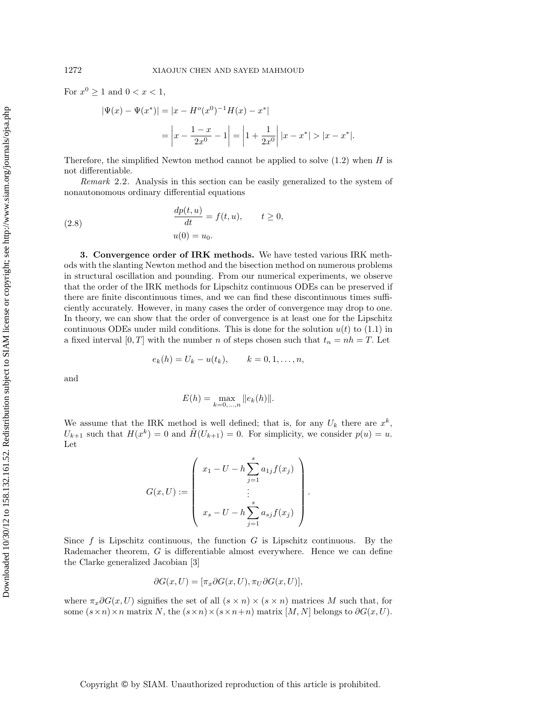For  $x^0 \ge 1$  and  $0 < x < 1$ ,

$$
|\Psi(x) - \Psi(x^*)| = |x - H^o(x^0)^{-1}H(x) - x^*|
$$
  
= 
$$
\left| x - \frac{1 - x}{2x^0} - 1 \right| = \left| 1 + \frac{1}{2x^0} \right| |x - x^*| > |x - x^*|.
$$

Therefore, the simplified Newton method cannot be applied to solve  $(1.2)$  when H is not differentiable.

Remark 2.2. Analysis in this section can be easily generalized to the system of nonautonomous ordinary differential equations

(2.8) 
$$
\frac{dp(t, u)}{dt} = f(t, u), \qquad t \ge 0,
$$

$$
u(0) = u_0.
$$

**3. Convergence order of IRK methods.** We have tested various IRK methods with the slanting Newton method and the bisection method on numerous problems in structural oscillation and pounding. From our numerical experiments, we observe that the order of the IRK methods for Lipschitz continuous ODEs can be preserved if there are finite discontinuous times, and we can find these discontinuous times sufficiently accurately. However, in many cases the order of convergence may drop to one. In theory, we can show that the order of convergence is at least one for the Lipschitz continuous ODEs under mild conditions. This is done for the solution  $u(t)$  to (1.1) in a fixed interval  $[0, T]$  with the number n of steps chosen such that  $t_n = nh = T$ . Let

$$
e_k(h) = U_k - u(t_k),
$$
  $k = 0, 1, ..., n,$ 

and

$$
E(h) = \max_{k=0,...,n} ||e_k(h)||.
$$

We assume that the IRK method is well defined; that is, for any  $U_k$  there are  $x^k$ ,  $U_{k+1}$  such that  $H(x^k) = 0$  and  $\tilde{H}(U_{k+1}) = 0$ . For simplicity, we consider  $p(u) = u$ . Let

$$
G(x, U) := \begin{pmatrix} x_1 - U - h \sum_{j=1}^{s} a_{1j} f(x_j) \\ \vdots \\ x_s - U - h \sum_{j=1}^{s} a_{sj} f(x_j) \end{pmatrix}.
$$

Since  $f$  is Lipschitz continuous, the function  $G$  is Lipschitz continuous. By the Rademacher theorem, G is differentiable almost everywhere. Hence we can define the Clarke generalized Jacobian [3]

$$
\partial G(x, U) = [\pi_x \partial G(x, U), \pi_U \partial G(x, U)],
$$

where  $\pi_x \partial G(x, U)$  signifies the set of all  $(s \times n) \times (s \times n)$  matrices M such that, for some  $(s \times n) \times n$  matrix N, the  $(s \times n) \times (s \times n+n)$  matrix  $[M, N]$  belongs to  $\partial G(x, U)$ .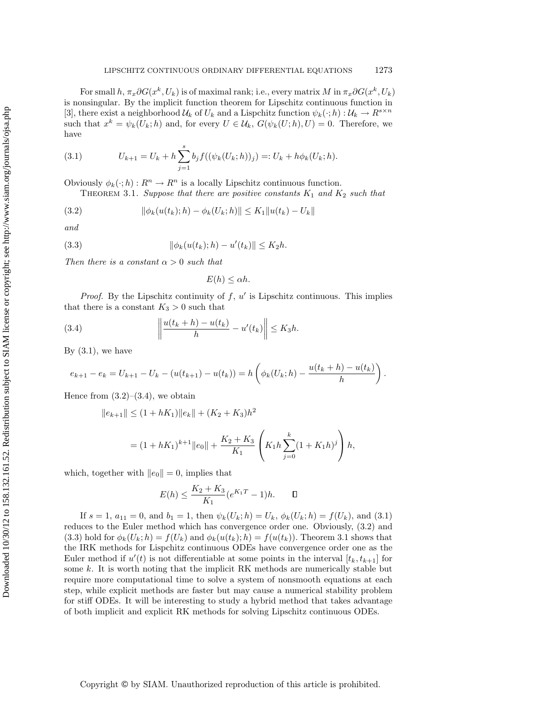For small  $h, \pi_x \partial G(x^k, U_k)$  is of maximal rank; i.e., every matrix M in  $\pi_x \partial G(x^k, U_k)$ is nonsingular. By the implicit function theorem for Lipschitz continuous function in [3], there exist a neighborhood  $\mathcal{U}_k$  of  $U_k$  and a Lispchitz function  $\psi_k(\cdot;h): \mathcal{U}_k \to R^{s \times n}$ such that  $x^k = \psi_k(U_k; h)$  and, for every  $U \in \mathcal{U}_k$ ,  $G(\psi_k(U; h), U) = 0$ . Therefore, we have

(3.1) 
$$
U_{k+1} = U_k + h \sum_{j=1}^s b_j f((\psi_k(U_k; h))_j) =: U_k + h \phi_k(U_k; h).
$$

Obviously  $\phi_k(\cdot; h) : R^n \to R^n$  is a locally Lipschitz continuous function.

THEOREM 3.1. Suppose that there are positive constants  $K_1$  and  $K_2$  such that

$$
(3.2) \t\t\t ||\phi_k(u(t_k);h) - \phi_k(U_k;h)|| \leq K_1 ||u(t_k) - U_k||
$$

and

(3.3) 
$$
\|\phi_k(u(t_k);h) - u'(t_k)\| \le K_2 h.
$$

Then there is a constant  $\alpha > 0$  such that

$$
E(h) \leq \alpha h.
$$

*Proof.* By the Lipschitz continuity of  $f, u'$  is Lipschitz continuous. This implies that there is a constant  $K_3 > 0$  such that

(3.4) 
$$
\left\|\frac{u(t_k+h)-u(t_k)}{h}-u'(t_k)\right\| \leq K_3 h.
$$

By  $(3.1)$ , we have

$$
e_{k+1} - e_k = U_{k+1} - U_k - (u(t_{k+1}) - u(t_k)) = h\left(\phi_k(U_k; h) - \frac{u(t_k + h) - u(t_k)}{h}\right).
$$

Hence from  $(3.2)$ – $(3.4)$ , we obtain

$$
||e_{k+1}|| \le (1 + hK_1)||e_k|| + (K_2 + K_3)h^2
$$
  
=  $(1 + hK_1)^{k+1}||e_0|| + \frac{K_2 + K_3}{K_1} \left(K_1h\sum_{j=0}^k (1 + K_1h)^j\right)h,$ 

which, together with  $||e_0|| = 0$ , implies that

$$
E(h) \le \frac{K_2 + K_3}{K_1} (e^{K_1 T} - 1)h. \quad \Box
$$

If  $s = 1$ ,  $a_{11} = 0$ , and  $b_1 = 1$ , then  $\psi_k(U_k; h) = U_k$ ,  $\phi_k(U_k; h) = f(U_k)$ , and (3.1) reduces to the Euler method which has convergence order one. Obviously, (3.2) and (3.3) hold for  $\phi_k(U_k; h) = f(U_k)$  and  $\phi_k(u(t_k); h) = f(u(t_k))$ . Theorem 3.1 shows that the IRK methods for Lispchitz continuous ODEs have convergence order one as the Euler method if  $u'(t)$  is not differentiable at some points in the interval  $[t_k, t_{k+1}]$  for some  $k$ . It is worth noting that the implicit RK methods are numerically stable but require more computational time to solve a system of nonsmooth equations at each step, while explicit methods are faster but may cause a numerical stability problem for stiff ODEs. It will be interesting to study a hybrid method that takes advantage of both implicit and explicit RK methods for solving Lipschitz continuous ODEs.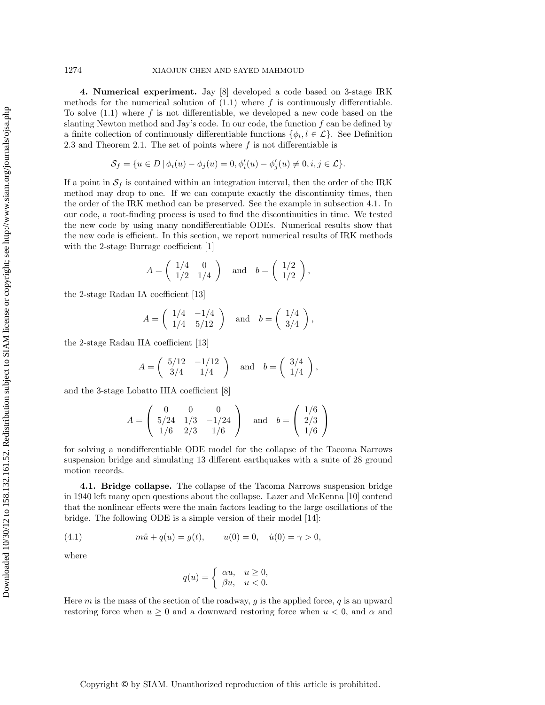**4. Numerical experiment.** Jay [8] developed a code based on 3-stage IRK methods for the numerical solution of  $(1.1)$  where f is continuously differentiable. To solve  $(1.1)$  where f is not differentiable, we developed a new code based on the slanting Newton method and Jay's code. In our code, the function  $f$  can be defined by a finite collection of continuously differentiable functions  $\{\phi_l, l \in \mathcal{L}\}\.$  See Definition 2.3 and Theorem 2.1. The set of points where  $f$  is not differentiable is

$$
\mathcal{S}_f = \{ u \in D \, | \, \phi_i(u) - \phi_j(u) = 0, \phi'_i(u) - \phi'_j(u) \neq 0, i, j \in \mathcal{L} \}.
$$

If a point in  $S_f$  is contained within an integration interval, then the order of the IRK method may drop to one. If we can compute exactly the discontinuity times, then the order of the IRK method can be preserved. See the example in subsection 4.1. In our code, a root-finding process is used to find the discontinuities in time. We tested the new code by using many nondifferentiable ODEs. Numerical results show that the new code is efficient. In this section, we report numerical results of IRK methods with the 2-stage Burrage coefficient [1]

$$
A = \left(\begin{array}{cc} 1/4 & 0 \\ 1/2 & 1/4 \end{array}\right) \quad \text{and} \quad b = \left(\begin{array}{c} 1/2 \\ 1/2 \end{array}\right),
$$

the 2-stage Radau IA coefficient [13]

$$
A = \begin{pmatrix} 1/4 & -1/4 \\ 1/4 & 5/12 \end{pmatrix} \text{ and } b = \begin{pmatrix} 1/4 \\ 3/4 \end{pmatrix},
$$

the 2-stage Radau IIA coefficient [13]

$$
A = \begin{pmatrix} 5/12 & -1/12 \\ 3/4 & 1/4 \end{pmatrix} \quad \text{and} \quad b = \begin{pmatrix} 3/4 \\ 1/4 \end{pmatrix},
$$

and the 3-stage Lobatto IIIA coefficient [8]

$$
A = \begin{pmatrix} 0 & 0 & 0 \\ 5/24 & 1/3 & -1/24 \\ 1/6 & 2/3 & 1/6 \end{pmatrix} \text{ and } b = \begin{pmatrix} 1/6 \\ 2/3 \\ 1/6 \end{pmatrix}
$$

for solving a nondifferentiable ODE model for the collapse of the Tacoma Narrows suspension bridge and simulating 13 different earthquakes with a suite of 28 ground motion records.

**4.1. Bridge collapse.** The collapse of the Tacoma Narrows suspension bridge in 1940 left many open questions about the collapse. Lazer and McKenna [10] contend that the nonlinear effects were the main factors leading to the large oscillations of the bridge. The following ODE is a simple version of their model [14]:

(4.1) 
$$
m\ddot{u} + q(u) = g(t), \qquad u(0) = 0, \quad \dot{u}(0) = \gamma > 0,
$$

where

$$
q(u) = \begin{cases} \alpha u, & u \ge 0, \\ \beta u, & u < 0. \end{cases}
$$

Here  $m$  is the mass of the section of the roadway,  $g$  is the applied force,  $q$  is an upward restoring force when  $u \geq 0$  and a downward restoring force when  $u < 0$ , and  $\alpha$  and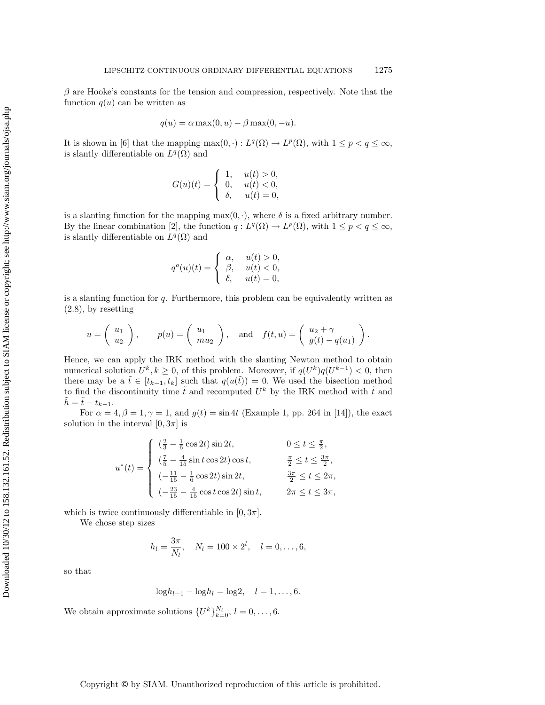$\beta$  are Hooke's constants for the tension and compression, respectively. Note that the function  $q(u)$  can be written as

$$
q(u) = \alpha \max(0, u) - \beta \max(0, -u).
$$

It is shown in [6] that the mapping  $\max(0, \cdot) : L^q(\Omega) \to L^p(\Omega)$ , with  $1 \leq p < q \leq \infty$ , is slantly differentiable on  $L^{q}(\Omega)$  and

$$
G(u)(t) = \begin{cases} 1, & u(t) > 0, \\ 0, & u(t) < 0, \\ \delta, & u(t) = 0, \end{cases}
$$

is a slanting function for the mapping  $max(0, \cdot)$ , where  $\delta$  is a fixed arbitrary number. By the linear combination [2], the function  $q: L^q(\Omega) \to L^p(\Omega)$ , with  $1 \leq p < q \leq \infty$ , is slantly differentiable on  $L^q(\Omega)$  and

$$
qo(u)(t) = \begin{cases} \alpha, & u(t) > 0, \\ \beta, & u(t) < 0, \\ \delta, & u(t) = 0, \end{cases}
$$

is a slanting function for  $q$ . Furthermore, this problem can be equivalently written as (2.8), by resetting

$$
u = \begin{pmatrix} u_1 \\ u_2 \end{pmatrix}
$$
,  $p(u) = \begin{pmatrix} u_1 \\ mu_2 \end{pmatrix}$ , and  $f(t, u) = \begin{pmatrix} u_2 + \gamma \\ g(t) - q(u_1) \end{pmatrix}$ .

Hence, we can apply the IRK method with the slanting Newton method to obtain numerical solution  $U^k, k \geq 0$ , of this problem. Moreover, if  $q(U^k)q(U^{k-1}) < 0$ , then there may be a  $\tilde{t} \in [t_{k-1}, t_k]$  such that  $q(u(\tilde{t})) = 0$ . We used the bisection method to find the discontinuity time  $\tilde{t}$  and recomputed  $U^k$  by the IRK method with  $\tilde{t}$  and  $\tilde{h} = \tilde{t} - t_{k-1}.$ 

For  $\alpha = 4, \beta = 1, \gamma = 1$ , and  $g(t) = \sin 4t$  (Example 1, pp. 264 in [14]), the exact solution in the interval  $[0, 3\pi]$  is

$$
u^*(t) = \begin{cases} \n\left(\frac{2}{3} - \frac{1}{6}\cos 2t\right) \sin 2t, & 0 \le t \le \frac{\pi}{2}, \\
\left(\frac{7}{5} - \frac{4}{15}\sin t \cos 2t\right) \cos t, & \frac{\pi}{2} \le t \le \frac{3\pi}{2}, \\
\left(-\frac{11}{15} - \frac{1}{6}\cos 2t\right) \sin 2t, & \frac{3\pi}{2} \le t \le 2\pi, \\
\left(-\frac{23}{15} - \frac{4}{15}\cos t \cos 2t\right) \sin t, & 2\pi \le t \le 3\pi,\n\end{cases}
$$

which is twice continuously differentiable in  $[0, 3\pi]$ .

We chose step sizes

$$
h_l = \frac{3\pi}{N_l}
$$
,  $N_l = 100 \times 2^l$ ,  $l = 0, ..., 6$ ,

so that

$$
\log h_{l-1} - \log h_l = \log 2, \quad l = 1, \dots, 6.
$$

We obtain approximate solutions  $\{U^k\}_{k=0}^{N_l}, l = 0, \ldots, 6$ .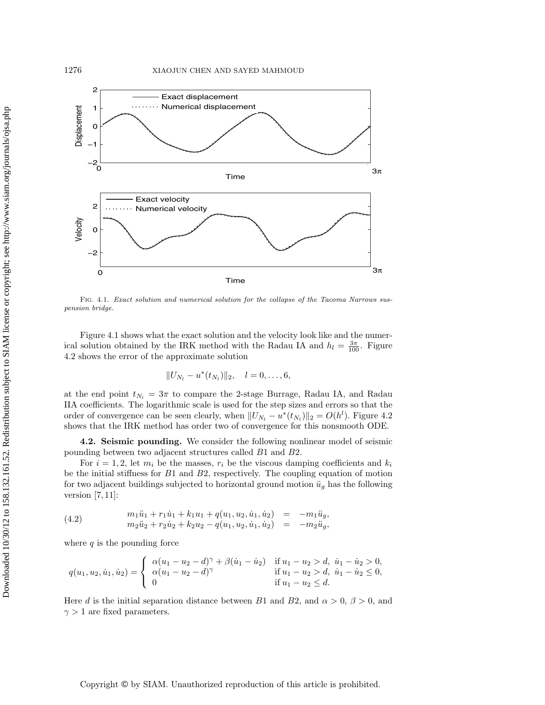

Fig. 4.1. Exact solution and numerical solution for the collapse of the Tacoma Narrows suspension bridge.

Figure 4.1 shows what the exact solution and the velocity look like and the numerical solution obtained by the IRK method with the Radau IA and  $h_l = \frac{3\pi}{100}$ . Figure 4.2 shows the error of the approximate solution

$$
||U_{N_l}-u^*(t_{N_l})||_2, \quad l=0,\ldots,6,
$$

at the end point  $t_{N_l} = 3\pi$  to compare the 2-stage Burrage, Radau IA, and Radau IIA coefficients. The logarithmic scale is used for the step sizes and errors so that the order of convergence can be seen clearly, when  $||U_{N_l} - u^*(t_{N_l})||_2 = O(h^l)$ . Figure 4.2 shows that the IRK method has order two of convergence for this nonsmooth ODE.

**4.2. Seismic pounding.** We consider the following nonlinear model of seismic pounding between two adjacent structures called B1 and B2.

For  $i = 1, 2$ , let  $m_i$  be the masses,  $r_i$  be the viscous damping coefficients and  $k_i$ be the initial stiffness for B1 and B2, respectively. The coupling equation of motion for two adjacent buildings subjected to horizontal ground motion  $\ddot{u}_g$  has the following version  $[7,11]$ :

(4.2) 
$$
m_1\ddot{u}_1 + r_1\dot{u}_1 + k_1u_1 + q(u_1, u_2, \dot{u}_1, \dot{u}_2) = -m_1\ddot{u}_g, \nm_2\ddot{u}_2 + r_2\dot{u}_2 + k_2u_2 - q(u_1, u_2, \dot{u}_1, \dot{u}_2) = -m_2\ddot{u}_g,
$$

where  $q$  is the pounding force

$$
q(u_1, u_2, \dot{u}_1, \dot{u}_2) = \begin{cases} \alpha(u_1 - u_2 - d)^{\gamma} + \beta(\dot{u}_1 - \dot{u}_2) & \text{if } u_1 - u_2 > d, \ \dot{u}_1 - \dot{u}_2 > 0, \\ \alpha(u_1 - u_2 - d)^{\gamma} & \text{if } u_1 - u_2 > d, \ \dot{u}_1 - \dot{u}_2 \le 0, \\ 0 & \text{if } u_1 - u_2 \le d. \end{cases}
$$

Here d is the initial separation distance between B1 and B2, and  $\alpha > 0$ ,  $\beta > 0$ , and  $\gamma > 1$  are fixed parameters.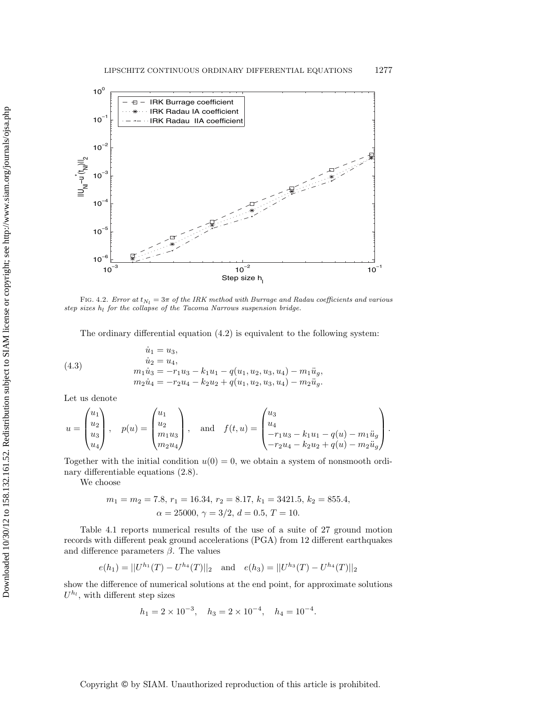

FIG. 4.2. Error at  $t_{N_l} = 3\pi$  of the IRK method with Burrage and Radau coefficients and various step sizes  $h_l$  for the collapse of the Tacoma Narrows suspension bridge.

The ordinary differential equation (4.2) is equivalent to the following system:

(4.3) 
$$
\begin{aligned}\n\dot{u}_1 &= u_3, \\
\dot{u}_2 &= u_4, \\
m_1 \dot{u}_3 &= -r_1 u_3 - k_1 u_1 - q(u_1, u_2, u_3, u_4) - m_1 \ddot{u}_g, \\
m_2 \dot{u}_4 &= -r_2 u_4 - k_2 u_2 + q(u_1, u_2, u_3, u_4) - m_2 \ddot{u}_g.\n\end{aligned}
$$

Let us denote

$$
u = \begin{pmatrix} u_1 \\ u_2 \\ u_3 \\ u_4 \end{pmatrix}, \quad p(u) = \begin{pmatrix} u_1 \\ u_2 \\ m_1 u_3 \\ m_2 u_4 \end{pmatrix}, \quad \text{and} \quad f(t, u) = \begin{pmatrix} u_3 \\ u_4 \\ -r_1 u_3 - k_1 u_1 - q(u) - m_1 \ddot{u}_g \\ -r_2 u_4 - k_2 u_2 + q(u) - m_2 \ddot{u}_g \end{pmatrix}.
$$

Together with the initial condition  $u(0) = 0$ , we obtain a system of nonsmooth ordinary differentiable equations (2.8).

We choose

$$
m_1 = m_2 = 7.8
$$
,  $r_1 = 16.34$ ,  $r_2 = 8.17$ ,  $k_1 = 3421.5$ ,  $k_2 = 855.4$ ,  
 $\alpha = 25000$ ,  $\gamma = 3/2$ ,  $d = 0.5$ ,  $T = 10$ .

Table 4.1 reports numerical results of the use of a suite of 27 ground motion records with different peak ground accelerations (PGA) from 12 different earthquakes and difference parameters  $\beta$ . The values

$$
e(h_1) = ||U^{h_1}(T) - U^{h_4}(T)||_2 \text{ and } e(h_3) = ||U^{h_3}(T) - U^{h_4}(T)||_2
$$

show the difference of numerical solutions at the end point, for approximate solutions  $U^{h_l}$ , with different step sizes

$$
h_1 = 2 \times 10^{-3}
$$
,  $h_3 = 2 \times 10^{-4}$ ,  $h_4 = 10^{-4}$ .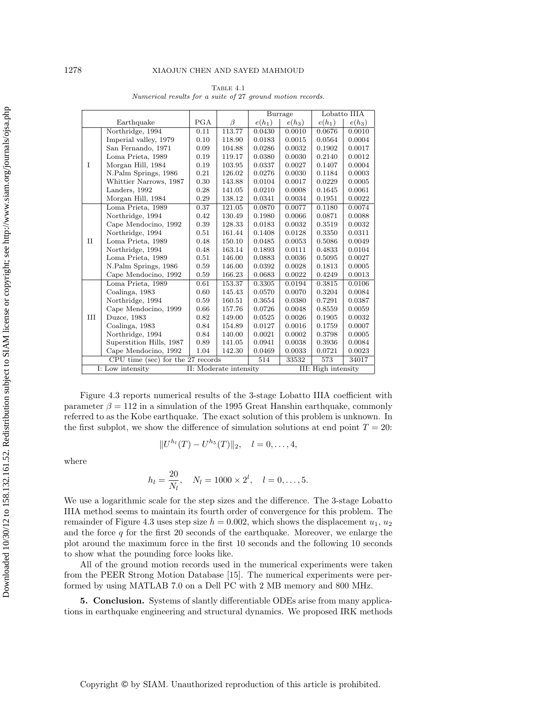|                                   |                          |      |                        | Burrage  |          | Lobatto IIIA        |          |
|-----------------------------------|--------------------------|------|------------------------|----------|----------|---------------------|----------|
| Earthquake                        |                          | PGA  | $\beta$                | $e(h_1)$ | $e(h_3)$ | $e(h_1)$            | $e(h_3)$ |
| T                                 | Northridge, 1994         | 0.11 | 113.77                 | 0.0430   | 0.0010   | 0.0676              | 0.0010   |
|                                   | Imperial valley, 1979    | 0.10 | 118.90                 | 0.0183   | 0.0015   | 0.0564              | 0.0004   |
|                                   | San Fernando, 1971       | 0.09 | 104.88                 | 0.0286   | 0.0032   | 0.1902              | 0.0017   |
|                                   | Loma Prieta, 1989        | 0.19 | 119.17                 | 0.0380   | 0.0030   | 0.2140              | 0.0012   |
|                                   | Morgan Hill, 1984        | 0.19 | 103.95                 | 0.0337   | 0.0027   | 0.1407              | 0.0004   |
|                                   | N.Palm Springs, 1986     | 0.21 | 126.02                 | 0.0276   | 0.0030   | 0.1184              | 0.0003   |
|                                   | Whittier Narrows, 1987   | 0.30 | 143.88                 | 0.0104   | 0.0017   | 0.0229              | 0.0005   |
|                                   | Landers, 1992            | 0.28 | 141.05                 | 0.0210   | 0.0008   | 0.1645              | 0.0061   |
|                                   | Morgan Hill, 1984        | 0.29 | 138.12                 | 0.0341   | 0.0034   | 0.1951              | 0.0022   |
| $\mathbf{H}$                      | Loma Prieta, 1989        | 0.37 | 121.05                 | 0.0870   | 0.0077   | 0.1180              | 0.0074   |
|                                   | Northridge, 1994         | 0.42 | 130.49                 | 0.1980   | 0.0066   | 0.0871              | 0.0088   |
|                                   | Cape Mendocino, 1992     | 0.39 | 128.33                 | 0.0183   | 0.0032   | 0.3519              | 0.0032   |
|                                   | Northridge, 1994         | 0.51 | 161.44                 | 0.1408   | 0.0128   | 0.3350              | 0.0311   |
|                                   | Loma Prieta, 1989        | 0.48 | 150.10                 | 0.0485   | 0.0053   | 0.5086              | 0.0049   |
|                                   | Northridge, 1994         | 0.48 | 163.14                 | 0.1893   | 0.0111   | 0.4833              | 0.0104   |
|                                   | Loma Prieta, 1989        | 0.51 | 146.00                 | 0.0883   | 0.0036   | 0.5095              | 0.0027   |
|                                   | N.Palm Springs, 1986     | 0.59 | 146.00                 | 0.0392   | 0.0028   | 0.1813              | 0.0005   |
|                                   | Cape Mendocino, 1992     | 0.59 | 166.23                 | 0.0683   | 0.0022   | 0.4249              | 0.0013   |
| Ш                                 | Loma Prieta, 1989        | 0.61 | 153.37                 | 0.3305   | 0.0194   | 0.3815              | 0.0106   |
|                                   | Coalinga, 1983           | 0.60 | 145.43                 | 0.0570   | 0.0070   | 0.3204              | 0.0084   |
|                                   | Northridge, 1994         | 0.59 | 160.51                 | 0.3654   | 0.0380   | 0.7291              | 0.0387   |
|                                   | Cape Mendocino, 1999     | 0.66 | 157.76                 | 0.0726   | 0.0048   | 0.8559              | 0.0059   |
|                                   | Duzce, 1983              | 0.82 | 149.00                 | 0.0525   | 0.0026   | 0.1905              | 0.0032   |
|                                   | Coalinga, 1983           | 0.84 | 154.89                 | 0.0127   | 0.0016   | 0.1759              | 0.0007   |
|                                   | Northridge, 1994         | 0.84 | 140.00                 | 0.0021   | 0.0002   | 0.3798              | 0.0005   |
|                                   | Superstition Hills, 1987 | 0.89 | 141.05                 | 0.0941   | 0.0038   | 0.3936              | 0.0084   |
|                                   | Cape Mendocino, 1992     | 1.04 | 142.30                 | 0.0469   | 0.0033   | 0.0721              | 0.0023   |
| CPU time (sec) for the 27 records |                          |      | 514                    | 33532    | 573      | 34017               |          |
| I: Low intensity                  |                          |      | II: Moderate intensity |          |          | III: High intensity |          |

TABLE  $4.1$ Numerical results for a suite of 27 ground motion records.

Figure 4.3 reports numerical results of the 3-stage Lobatto IIIA coefficient with parameter  $\beta = 112$  in a simulation of the 1995 Great Hanshin earthquake, commonly referred to as the Kobe earthquake. The exact solution of this problem is unknown. In the first subplot, we show the difference of simulation solutions at end point  $T = 20$ :

$$
||U^{h_l}(T) - U^{h_5}(T)||_2, \quad l = 0, \ldots, 4,
$$

where

$$
h_l = \frac{20}{N_l}
$$
,  $N_l = 1000 \times 2^l$ ,  $l = 0, ..., 5$ .

We use a logarithmic scale for the step sizes and the difference. The 3-stage Lobatto IIIA method seems to maintain its fourth order of convergence for this problem. The remainder of Figure 4.3 uses step size  $h = 0.002$ , which shows the displacement  $u_1, u_2$ and the force  $q$  for the first 20 seconds of the earthquake. Moreover, we enlarge the plot around the maximum force in the first 10 seconds and the following 10 seconds to show what the pounding force looks like.

All of the ground motion records used in the numerical experiments were taken from the PEER Strong Motion Database [15]. The numerical experiments were performed by using MATLAB 7.0 on a Dell PC with 2 MB memory and 800 MHz.

**5. Conclusion.** Systems of slantly differentiable ODEs arise from many applications in earthquake engineering and structural dynamics. We proposed IRK methods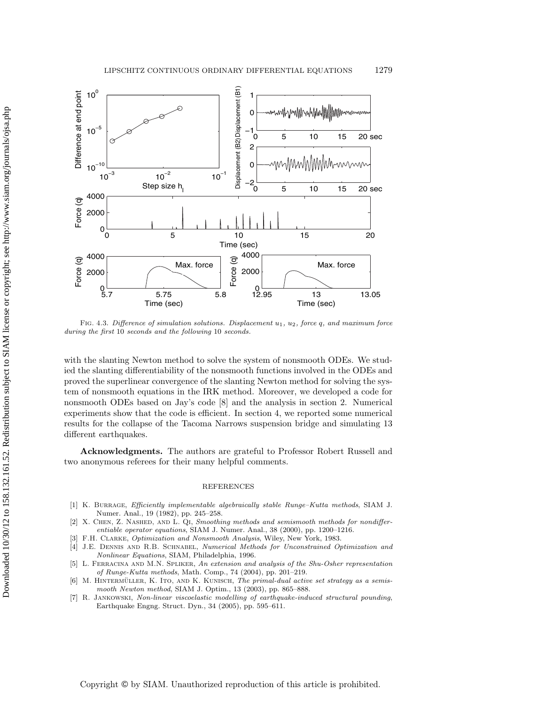

FIG. 4.3. Difference of simulation solutions. Displacement  $u_1$ ,  $u_2$ , force q, and maximum force during the first 10 seconds and the following 10 seconds.

with the slanting Newton method to solve the system of nonsmooth ODEs. We studied the slanting differentiability of the nonsmooth functions involved in the ODEs and proved the superlinear convergence of the slanting Newton method for solving the system of nonsmooth equations in the IRK method. Moreover, we developed a code for nonsmooth ODEs based on Jay's code [8] and the analysis in section 2. Numerical experiments show that the code is efficient. In section 4, we reported some numerical results for the collapse of the Tacoma Narrows suspension bridge and simulating 13 different earthquakes.

**Acknowledgments.** The authors are grateful to Professor Robert Russell and two anonymous referees for their many helpful comments.

## REFERENCES

- [1] K. BURRAGE, Efficiently implementable algebraically stable Runge–Kutta methods, SIAM J. Numer. Anal., 19 (1982), pp. 245–258.
- [2] X. CHEN, Z. NASHED, AND L. QI, Smoothing methods and semismooth methods for nondifferentiable operator equations, SIAM J. Numer. Anal., 38 (2000), pp. 1200–1216.
- [3] F.H. Clarke, Optimization and Nonsmooth Analysis, Wiley, New York, 1983.
- [4] J.E. DENNIS AND R.B. SCHNABEL, Numerical Methods for Unconstrained Optimization and Nonlinear Equations, SIAM, Philadelphia, 1996.
- [5] L. Ferracina and M.N. Spliker, An extension and analysis of the Shu-Osher representation of Runge-Kutta methods, Math. Comp., 74 (2004), pp. 201–219.
- [6] M. HINTERMÜLLER, K. ITO, AND K. KUNISCH, The primal-dual active set strategy as a semismooth Newton method, SIAM J. Optim., 13 (2003), pp. 865–888.
- [7] R. Jankowski, Non-linear viscoelastic modelling of earthquake-induced structural pounding, Earthquake Engng. Struct. Dyn., 34 (2005), pp. 595–611.